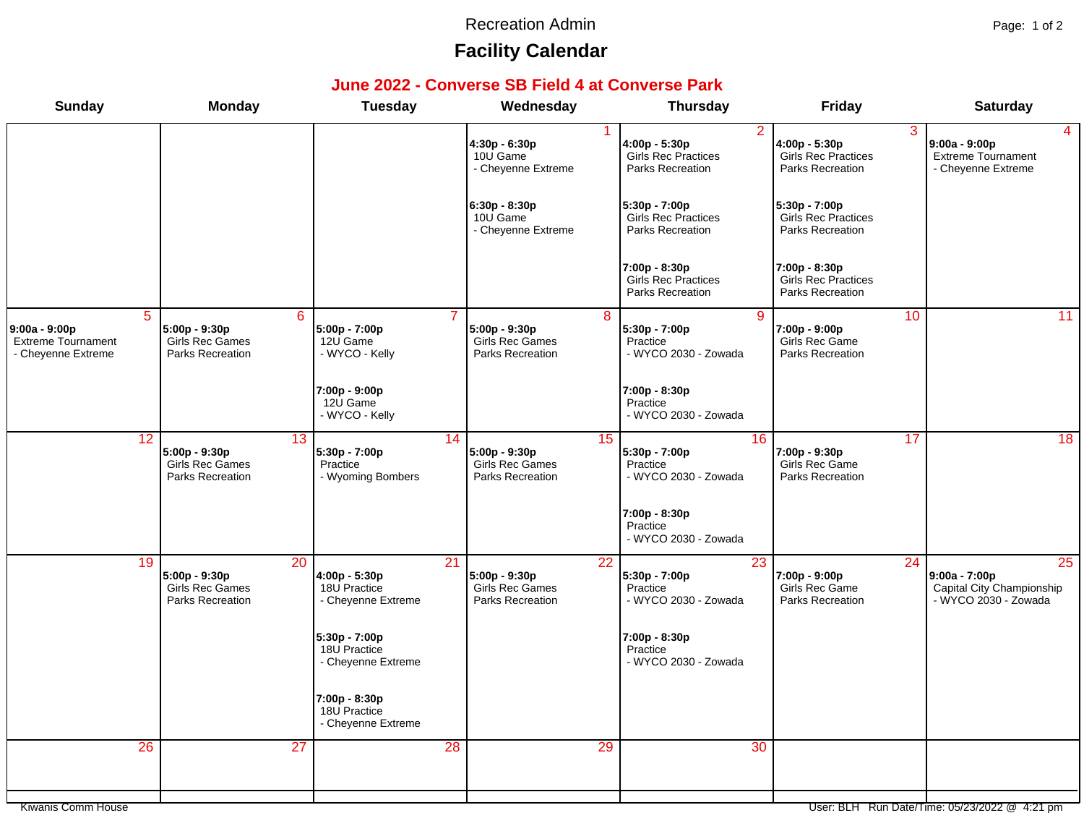#### Recreation Admin **Page: 1 of 2**

# **Facility Calendar**

### **June 2022 - Converse SB Field 4 at Converse Park**

| <b>Sunday</b>                                                           | <b>Monday</b>                                                                         | <b>Tuesday</b>                                            | Wednesday                                                    |                 | <b>Thursday</b>                                                        | <b>Friday</b>                                                   |                 | <b>Saturday</b>                                                          |
|-------------------------------------------------------------------------|---------------------------------------------------------------------------------------|-----------------------------------------------------------|--------------------------------------------------------------|-----------------|------------------------------------------------------------------------|-----------------------------------------------------------------|-----------------|--------------------------------------------------------------------------|
|                                                                         |                                                                                       |                                                           | 4:30p - 6:30p<br>10U Game<br>- Cheyenne Extreme              |                 | 2<br>4:00p - 5:30p<br><b>Girls Rec Practices</b><br>Parks Recreation   | 4:00p - 5:30p<br><b>Girls Rec Practices</b><br>Parks Recreation | 3               | 4<br>$9:00a - 9:00p$<br><b>Extreme Tournament</b><br>- Cheyenne Extreme  |
|                                                                         |                                                                                       |                                                           | 6:30p - 8:30p<br>10U Game<br>- Cheyenne Extreme              |                 | 5:30p - 7:00p<br><b>Girls Rec Practices</b><br><b>Parks Recreation</b> | 5:30p - 7:00p<br>Girls Rec Practices<br>Parks Recreation        |                 |                                                                          |
|                                                                         |                                                                                       |                                                           |                                                              |                 | 7:00p - 8:30p<br>Girls Rec Practices<br>Parks Recreation               | 7:00p - 8:30p<br>Girls Rec Practices<br>Parks Recreation        |                 |                                                                          |
| 5<br>$9:00a - 9:00p$<br><b>Extreme Tournament</b><br>- Cheyenne Extreme | $6\overline{6}$<br>5:00p - 9:30p<br><b>Girls Rec Games</b><br><b>Parks Recreation</b> | 5:00p - 7:00p<br>12U Game<br>- WYCO - Kelly               | 5:00p - 9:30p<br><b>Girls Rec Games</b><br>Parks Recreation  | $\overline{8}$  | $\overline{9}$<br>5:30p - 7:00p<br>Practice<br>- WYCO 2030 - Zowada    | 7:00p - 9:00p<br>Girls Rec Game<br><b>Parks Recreation</b>      | 10              | 11                                                                       |
|                                                                         |                                                                                       | $7:00p - 9:00p$<br>12U Game<br>- WYCO - Kelly             |                                                              |                 | 7:00p - 8:30p<br>Practice<br>- WYCO 2030 - Zowada                      |                                                                 |                 |                                                                          |
| 12                                                                      | 13<br>$5:00p - 9:30p$<br><b>Girls Rec Games</b><br>Parks Recreation                   | 5:30p - 7:00p<br>Practice<br>- Wyoming Bombers            | 14<br>$5:00p - 9:30p$<br>Girls Rec Games<br>Parks Recreation | 15              | 16<br>5:30p - 7:00p<br>Practice<br>- WYCO 2030 - Zowada                | 7:00p - 9:30p<br>Girls Rec Game<br>Parks Recreation             | 17              | 18                                                                       |
|                                                                         |                                                                                       |                                                           |                                                              |                 | 7:00p - 8:30p<br>Practice<br>- WYCO 2030 - Zowada                      |                                                                 |                 |                                                                          |
| 19                                                                      | 20<br>5:00p - 9:30p<br><b>Girls Rec Games</b><br>Parks Recreation                     | 21<br>4:00p - 5:30p<br>18U Practice<br>- Cheyenne Extreme | 5:00p - 9:30p<br><b>Girls Rec Games</b><br>Parks Recreation  | $\overline{22}$ | 23<br>5:30p - 7:00p<br>Practice<br>- WYCO 2030 - Zowada                | 7:00p - 9:00p<br>Girls Rec Game<br><b>Parks Recreation</b>      | $\overline{24}$ | 25<br>9:00a - 7:00p<br>Capital City Championship<br>- WYCO 2030 - Zowada |
|                                                                         |                                                                                       | 5:30p - 7:00p<br>18U Practice<br>- Cheyenne Extreme       |                                                              |                 | 7:00p - 8:30p<br>Practice<br>- WYCO 2030 - Zowada                      |                                                                 |                 |                                                                          |
|                                                                         |                                                                                       | 7:00p - 8:30p<br>18U Practice<br>- Cheyenne Extreme       |                                                              |                 |                                                                        |                                                                 |                 |                                                                          |
| 26                                                                      | $\overline{27}$                                                                       |                                                           | $\overline{28}$                                              | 29              | 30                                                                     |                                                                 |                 |                                                                          |
| Kiwanis Comm House                                                      |                                                                                       |                                                           |                                                              |                 |                                                                        |                                                                 |                 | User: BLH Run Date/Time: 05/23/2022 @ 4:21 pm                            |